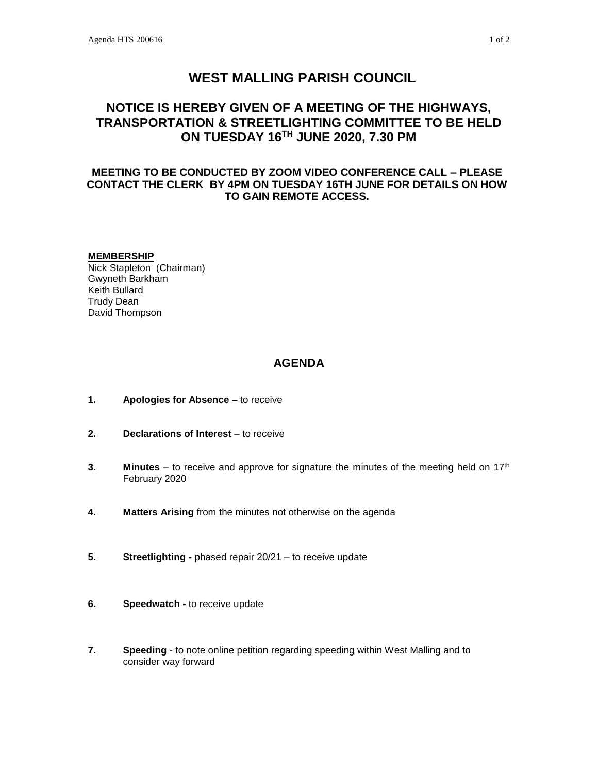# **WEST MALLING PARISH COUNCIL**

## **NOTICE IS HEREBY GIVEN OF A MEETING OF THE HIGHWAYS, TRANSPORTATION & STREETLIGHTING COMMITTEE TO BE HELD ON TUESDAY 16TH JUNE 2020, 7.30 PM**

## **MEETING TO BE CONDUCTED BY ZOOM VIDEO CONFERENCE CALL – PLEASE CONTACT THE CLERK BY 4PM ON TUESDAY 16TH JUNE FOR DETAILS ON HOW TO GAIN REMOTE ACCESS.**

#### **MEMBERSHIP**

Nick Stapleton (Chairman) Gwyneth Barkham Keith Bullard Trudy Dean David Thompson

### **AGENDA**

- **1. Apologies for Absence –** to receive
- **2. Declarations of Interest** to receive
- **3. Minutes** to receive and approve for signature the minutes of the meeting held on 17<sup>th</sup> February 2020
- **4. Matters Arising** from the minutes not otherwise on the agenda
- **5. Streetlighting -** phased repair 20/21 to receive update
- **6. Speedwatch -** to receive update
- **7. Speeding** to note online petition regarding speeding within West Malling and to consider way forward